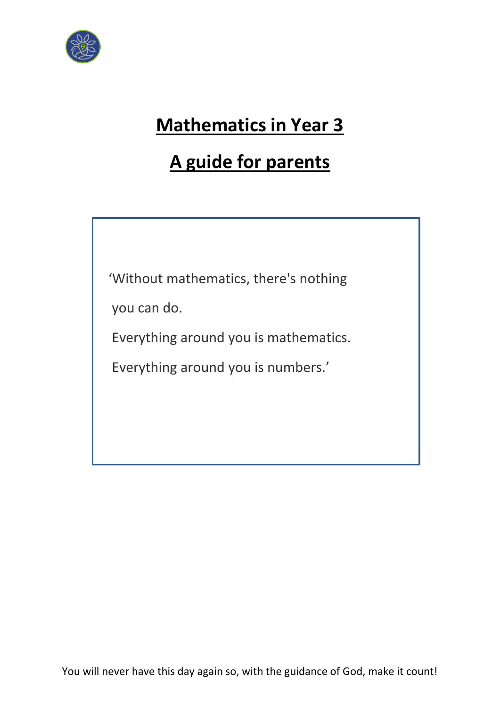

# **Mathematics in Year 3**

# **A guide for parents**

'Without mathematics, there's nothing

you can do.

Everything around you is mathematics.

Everything around you is numbers.'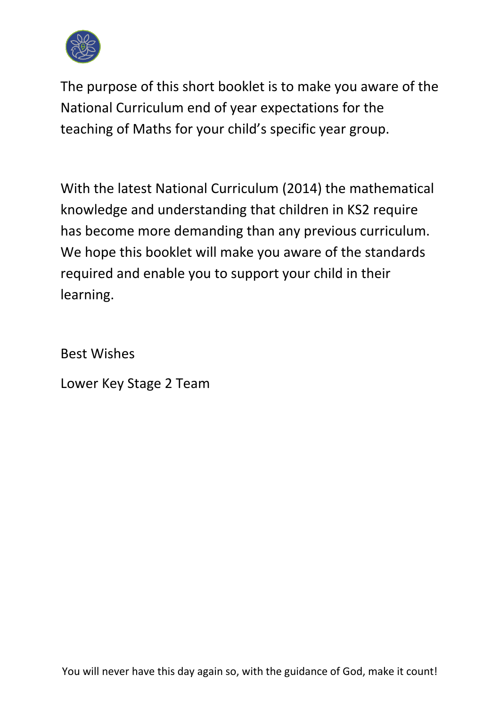

The purpose of this short booklet is to make you aware of the National Curriculum end of year expectations for the teaching of Maths for your child's specific year group.

With the latest National Curriculum (2014) the mathematical knowledge and understanding that children in KS2 require has become more demanding than any previous curriculum. We hope this booklet will make you aware of the standards required and enable you to support your child in their learning.

Best Wishes

Lower Key Stage 2 Team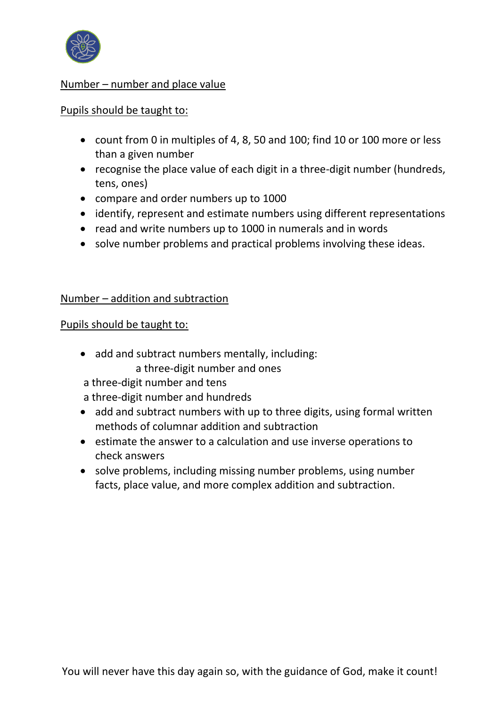

# Number – number and place value

### Pupils should be taught to:

- count from 0 in multiples of 4, 8, 50 and 100; find 10 or 100 more or less than a given number
- recognise the place value of each digit in a three-digit number (hundreds, tens, ones)
- compare and order numbers up to 1000
- identify, represent and estimate numbers using different representations
- read and write numbers up to 1000 in numerals and in words
- solve number problems and practical problems involving these ideas.

## Number – addition and subtraction

### Pupils should be taught to:

- add and subtract numbers mentally, including: a three-digit number and ones
- a three-digit number and tens
- a three-digit number and hundreds
- add and subtract numbers with up to three digits, using formal written methods of columnar addition and subtraction
- estimate the answer to a calculation and use inverse operations to check answers
- solve problems, including missing number problems, using number facts, place value, and more complex addition and subtraction.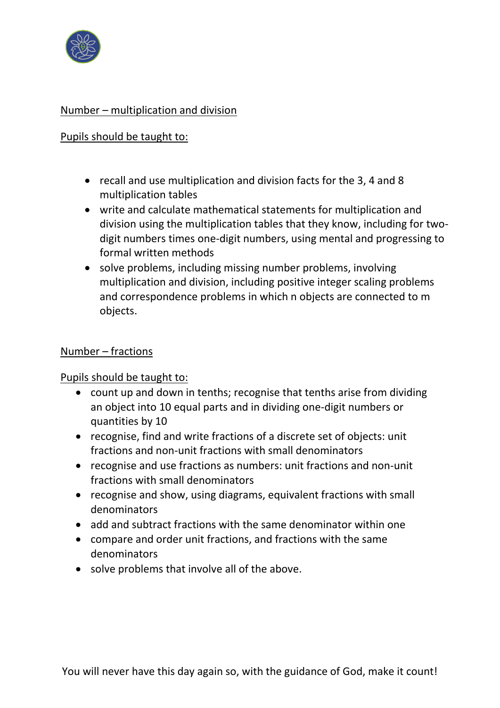

# Number – multiplication and division

# Pupils should be taught to:

- recall and use multiplication and division facts for the 3, 4 and 8 multiplication tables
- write and calculate mathematical statements for multiplication and division using the multiplication tables that they know, including for twodigit numbers times one-digit numbers, using mental and progressing to formal written methods
- solve problems, including missing number problems, involving multiplication and division, including positive integer scaling problems and correspondence problems in which n objects are connected to m objects.

# Number – fractions

Pupils should be taught to:

- count up and down in tenths; recognise that tenths arise from dividing an object into 10 equal parts and in dividing one-digit numbers or quantities by 10
- recognise, find and write fractions of a discrete set of objects: unit fractions and non-unit fractions with small denominators
- recognise and use fractions as numbers: unit fractions and non-unit fractions with small denominators
- recognise and show, using diagrams, equivalent fractions with small denominators
- add and subtract fractions with the same denominator within one
- compare and order unit fractions, and fractions with the same denominators
- solve problems that involve all of the above.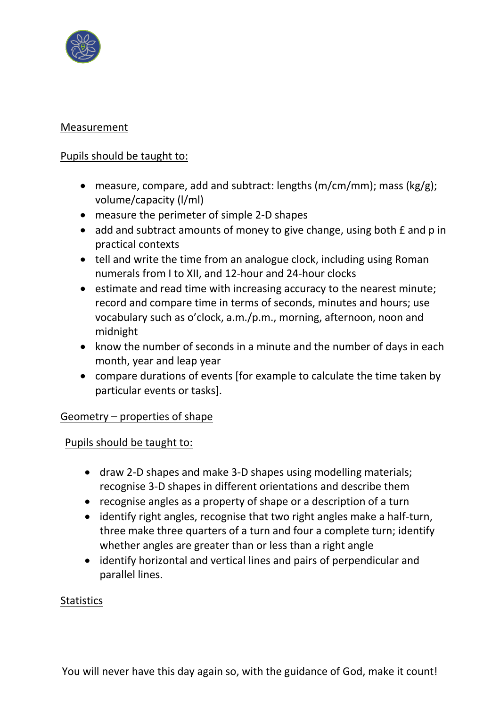

## Measurement

## Pupils should be taught to:

- measure, compare, add and subtract: lengths  $(m/cm/mm)$ ; mass  $(kg/g)$ ; volume/capacity (l/ml)
- measure the perimeter of simple 2-D shapes
- add and subtract amounts of money to give change, using both  $E$  and p in practical contexts
- tell and write the time from an analogue clock, including using Roman numerals from I to XII, and 12-hour and 24-hour clocks
- estimate and read time with increasing accuracy to the nearest minute; record and compare time in terms of seconds, minutes and hours; use vocabulary such as o'clock, a.m./p.m., morning, afternoon, noon and midnight
- know the number of seconds in a minute and the number of days in each month, year and leap year
- compare durations of events [for example to calculate the time taken by particular events or tasks].

### Geometry – properties of shape

### Pupils should be taught to:

- draw 2-D shapes and make 3-D shapes using modelling materials; recognise 3-D shapes in different orientations and describe them
- recognise angles as a property of shape or a description of a turn
- identify right angles, recognise that two right angles make a half-turn, three make three quarters of a turn and four a complete turn; identify whether angles are greater than or less than a right angle
- identify horizontal and vertical lines and pairs of perpendicular and parallel lines.

### **Statistics**